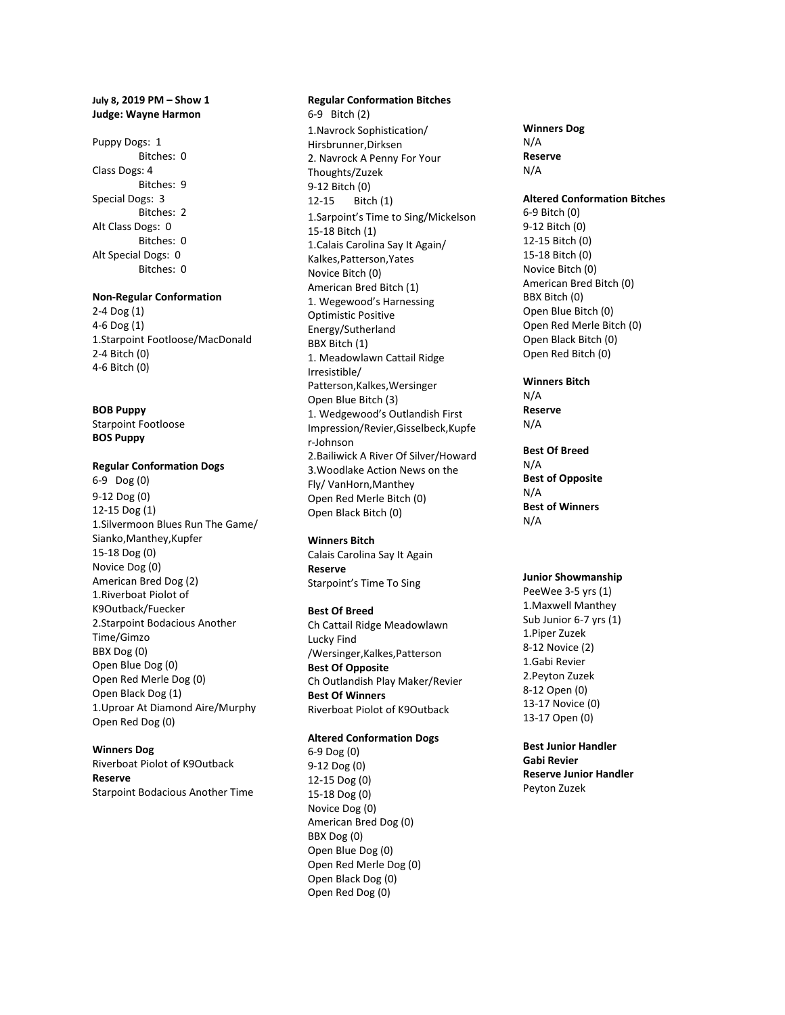# **July 8, 2019 PM – Show 1 Judge: Wayne Harmon**

Puppy Dogs: 1 Bitches: 0 Class Dogs: 4 Bitches: 9 Special Dogs: 3 Bitches: 2 Alt Class Dogs: 0 Bitches: 0 Alt Special Dogs: 0 Bitches: 0

#### **Non-Regular Conformation**

2-4 Dog (1) 4-6 Dog (1) 1.Starpoint Footloose/MacDonald 2-4 Bitch (0) 4-6 Bitch (0)

#### **BOB Puppy**

Starpoint Footloose **BOS Puppy**

# **Regular Conformation Dogs**

6-9 Dog (0) 9-12 Dog (0) 12-15 Dog (1) 1.Silvermoon Blues Run The Game/ Sianko,Manthey,Kupfer 15-18 Dog (0) Novice Dog (0) American Bred Dog (2) 1.Riverboat Piolot of K9Outback/Fuecker 2.Starpoint Bodacious Another Time/Gimzo BBX Dog (0) Open Blue Dog (0) Open Red Merle Dog (0) Open Black Dog (1) 1.Uproar At Diamond Aire/Murphy Open Red Dog (0)

#### **Winners Dog**

Riverboat Piolot of K9Outback **Reserve** Starpoint Bodacious Another Time

## **Regular Conformation Bitches**

6-9 Bitch (2) 1.Navrock Sophistication/ Hirsbrunner,Dirksen 2. Navrock A Penny For Your Thoughts/Zuzek 9-12 Bitch (0) 12-15 Bitch (1) 1.Sarpoint's Time to Sing/Mickelson 15-18 Bitch (1) 1.Calais Carolina Say It Again/ Kalkes,Patterson,Yates Novice Bitch (0) American Bred Bitch (1) 1. Wegewood's Harnessing Optimistic Positive Energy/Sutherland BBX Bitch (1) 1. Meadowlawn Cattail Ridge Irresistible/ Patterson,Kalkes,Wersinger Open Blue Bitch (3) 1. Wedgewood's Outlandish First Impression/Revier,Gisselbeck,Kupfe r-Johnson 2.Bailiwick A River Of Silver/Howard 3.Woodlake Action News on the Fly/ VanHorn,Manthey Open Red Merle Bitch (0) Open Black Bitch (0)

# **Winners Bitch**

Calais Carolina Say It Again **Reserve** Starpoint's Time To Sing

#### **Best Of Breed**

Ch Cattail Ridge Meadowlawn Lucky Find /Wersinger,Kalkes,Patterson **Best Of Opposite** Ch Outlandish Play Maker/Revier **Best Of Winners** Riverboat Piolot of K9Outback

#### **Altered Conformation Dogs**

6-9 Dog (0) 9-12 Dog (0) 12-15 Dog (0) 15-18 Dog (0) Novice Dog (0) American Bred Dog (0) BBX Dog (0) Open Blue Dog (0) Open Red Merle Dog (0) Open Black Dog (0) Open Red Dog (0)

**Winners Dog** N/A **Reserve** N/A

# **Altered Conformation Bitches**

6-9 Bitch (0) 9-12 Bitch (0) 12-15 Bitch (0) 15-18 Bitch (0) Novice Bitch (0) American Bred Bitch (0) BBX Bitch (0) Open Blue Bitch (0) Open Red Merle Bitch (0) Open Black Bitch (0) Open Red Bitch (0)

**Winners Bitch** N/A **Reserve** N/A

**Best Of Breed** N/A **Best of Opposite** N/A **Best of Winners** N/A

# **Junior Showmanship**

PeeWee 3-5 yrs (1) 1.Maxwell Manthey Sub Junior 6-7 yrs (1) 1.Piper Zuzek 8-12 Novice (2) 1.Gabi Revier 2.Peyton Zuzek 8-12 Open (0) 13-17 Novice (0) 13-17 Open (0)

**Best Junior Handler Gabi Revier Reserve Junior Handler** Peyton Zuzek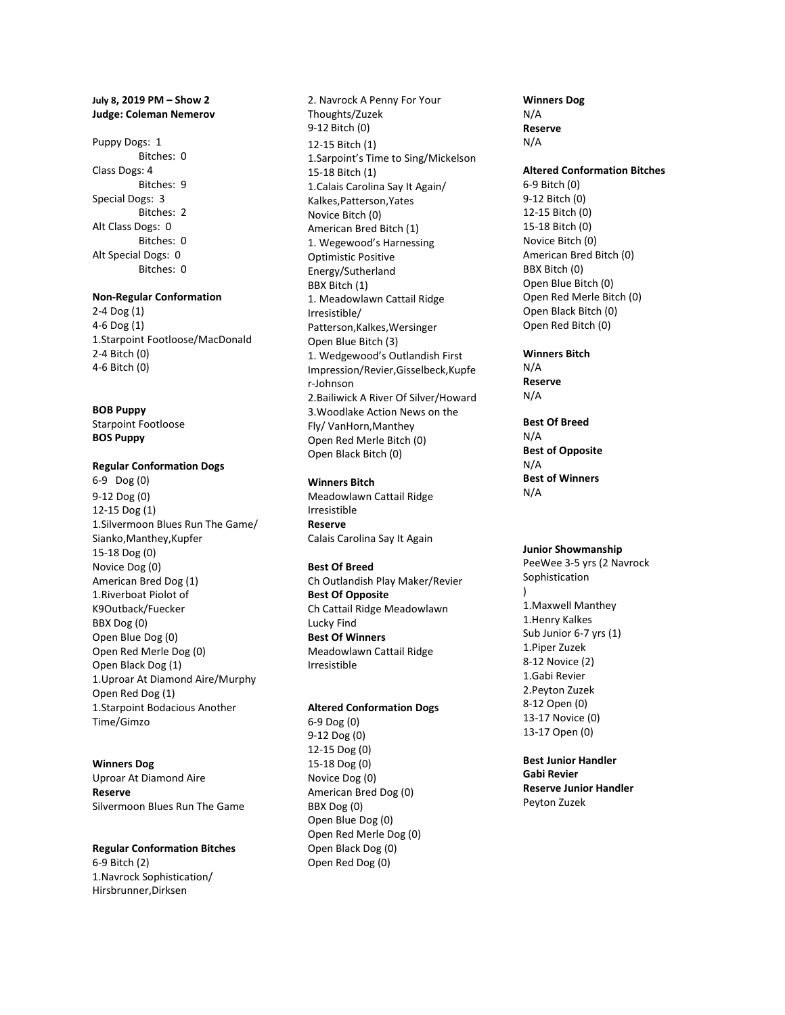# **July 8, 2019 PM – Show 2 Judge: Coleman Nemerov**

Puppy Dogs: 1 Bitches: 0 Class Dogs: 4 Bitches: 9 Special Dogs: 3 Bitches: 2 Alt Class Dogs: 0 Bitches: 0 Alt Special Dogs: 0 Bitches: 0

# **Non-Regular Conformation**

2-4 Dog (1) 4-6 Dog (1) 1.Starpoint Footloose/MacDonald 2-4 Bitch (0) 4-6 Bitch (0)

#### **BOB Puppy**

Starpoint Footloose **BOS Puppy**

# **Regular Conformation Dogs**

6-9 Dog (0) 9-12 Dog (0) 12-15 Dog (1) 1.Silvermoon Blues Run The Game/ Sianko,Manthey,Kupfer 15-18 Dog (0) Novice Dog (0) American Bred Dog (1) 1.Riverboat Piolot of K9Outback/Fuecker BBX Dog (0) Open Blue Dog (0) Open Red Merle Dog (0) Open Black Dog (1) 1.Uproar At Diamond Aire/Murphy Open Red Dog (1) 1.Starpoint Bodacious Another Time/Gimzo

# **Winners Dog**

Uproar At Diamond Aire **Reserve** Silvermoon Blues Run The Game

# **Regular Conformation Bitches** 6-9 Bitch (2) 1.Navrock Sophistication/ Hirsbrunner,Dirksen

2. Navrock A Penny For Your Thoughts/Zuzek 9-12 Bitch (0) 12-15 Bitch (1) 1.Sarpoint's Time to Sing/Mickelson 15-18 Bitch (1) 1.Calais Carolina Say It Again/ Kalkes,Patterson,Yates Novice Bitch (0) American Bred Bitch (1) 1. Wegewood's Harnessing Optimistic Positive Energy/Sutherland BBX Bitch (1) 1. Meadowlawn Cattail Ridge Irresistible/ Patterson,Kalkes,Wersinger Open Blue Bitch (3) 1. Wedgewood's Outlandish First Impression/Revier,Gisselbeck,Kupfe r-Johnson 2.Bailiwick A River Of Silver/Howard 3.Woodlake Action News on the Fly/ VanHorn,Manthey Open Red Merle Bitch (0) Open Black Bitch (0)

#### **Winners Bitch**

Meadowlawn Cattail Ridge Irresistible **Reserve** Calais Carolina Say It Again

#### **Best Of Breed**

Ch Outlandish Play Maker/Revier **Best Of Opposite** Ch Cattail Ridge Meadowlawn Lucky Find **Best Of Winners** Meadowlawn Cattail Ridge Irresistible

# **Altered Conformation Dogs**

6-9 Dog (0) 9-12 Dog (0) 12-15 Dog (0) 15-18 Dog (0) Novice Dog (0) American Bred Dog (0) BBX Dog (0) Open Blue Dog (0) Open Red Merle Dog (0) Open Black Dog (0) Open Red Dog (0)

**Winners Dog** N/A **Reserve** N/A

# **Altered Conformation Bitches**

6-9 Bitch (0) 9-12 Bitch (0) 12-15 Bitch (0) 15-18 Bitch (0) Novice Bitch (0) American Bred Bitch (0) BBX Bitch (0) Open Blue Bitch (0) Open Red Merle Bitch (0) Open Black Bitch (0) Open Red Bitch (0)

#### **Winners Bitch**

N/A **Reserve** N/A

**Best Of Breed** N/A **Best of Opposite** N/A **Best of Winners** N/A

# **Junior Showmanship**

PeeWee 3-5 yrs (2 Navrock Sophistication ) 1.Maxwell Manthey 1.Henry Kalkes Sub Junior 6-7 yrs (1) 1.Piper Zuzek 8-12 Novice (2) 1.Gabi Revier 2.Peyton Zuzek 8-12 Open (0) 13-17 Novice (0) 13-17 Open (0)

**Best Junior Handler Gabi Revier Reserve Junior Handler** Peyton Zuzek